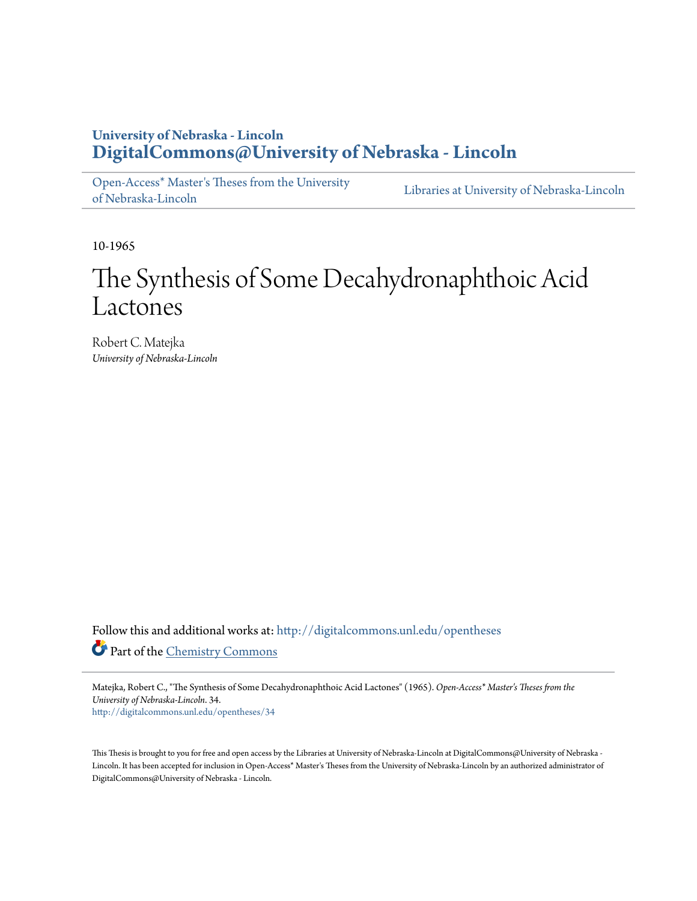### **University of Nebraska - Lincoln [DigitalCommons@University of Nebraska - Lincoln](http://digitalcommons.unl.edu?utm_source=digitalcommons.unl.edu%2Fopentheses%2F34&utm_medium=PDF&utm_campaign=PDFCoverPages)**

[Open-Access\\* Master's Theses from the University](http://digitalcommons.unl.edu/opentheses?utm_source=digitalcommons.unl.edu%2Fopentheses%2F34&utm_medium=PDF&utm_campaign=PDFCoverPages) [of Nebraska-Lincoln](http://digitalcommons.unl.edu/opentheses?utm_source=digitalcommons.unl.edu%2Fopentheses%2F34&utm_medium=PDF&utm_campaign=PDFCoverPages) [Libraries at University of Nebraska-Lincoln](http://digitalcommons.unl.edu/libraries?utm_source=digitalcommons.unl.edu%2Fopentheses%2F34&utm_medium=PDF&utm_campaign=PDFCoverPages)

10-1965

## The Synthesis of Some Decahydronaphthoic Acid Lactones

Robert C. Matejka *University of Nebraska-Lincoln*

Follow this and additional works at: [http://digitalcommons.unl.edu/opentheses](http://digitalcommons.unl.edu/opentheses?utm_source=digitalcommons.unl.edu%2Fopentheses%2F34&utm_medium=PDF&utm_campaign=PDFCoverPages) Part of the [Chemistry Commons](http://network.bepress.com/hgg/discipline/131?utm_source=digitalcommons.unl.edu%2Fopentheses%2F34&utm_medium=PDF&utm_campaign=PDFCoverPages)

Matejka, Robert C., "The Synthesis of Some Decahydronaphthoic Acid Lactones" (1965). *Open-Access\* Master's Theses from the University of Nebraska-Lincoln*. 34. [http://digitalcommons.unl.edu/opentheses/34](http://digitalcommons.unl.edu/opentheses/34?utm_source=digitalcommons.unl.edu%2Fopentheses%2F34&utm_medium=PDF&utm_campaign=PDFCoverPages)

This Thesis is brought to you for free and open access by the Libraries at University of Nebraska-Lincoln at DigitalCommons@University of Nebraska - Lincoln. It has been accepted for inclusion in Open-Access\* Master's Theses from the University of Nebraska-Lincoln by an authorized administrator of DigitalCommons@University of Nebraska - Lincoln.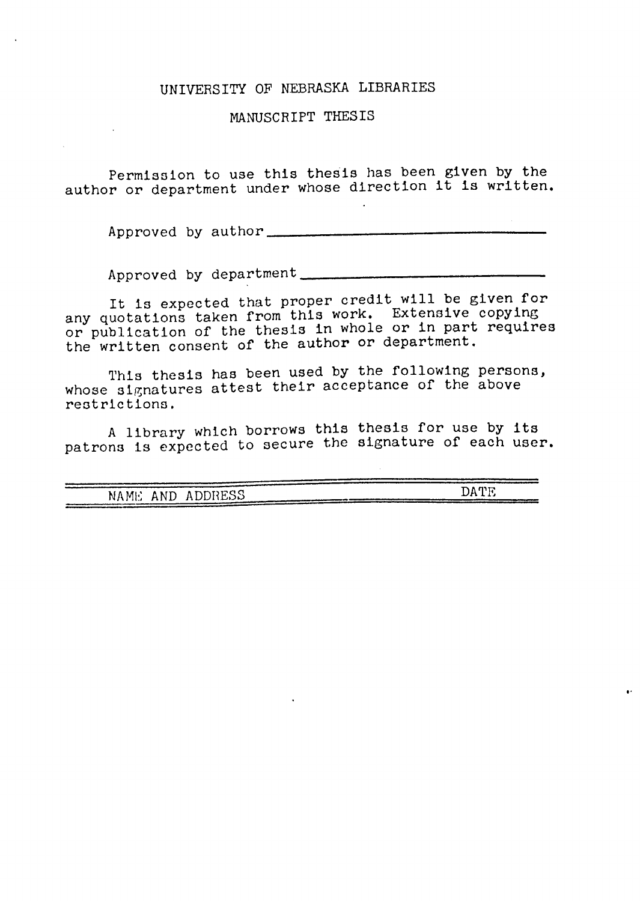#### UNIVERSITY OF NEBRASKA LIBRARIES

#### MANUSCRIPT THESIS

Permission to use this thesis has been given by the author or department under whose direction it is written.

Approved by author

Approved by department \_

It is expected that proper credit will be given for any quotations taken from this work. Extensive copying or publication of the thesis in whole or in part requires the written consent of the author or department.

This thesis has been used by the following persons, whose signatures attest their acceptance of the above restrictions.

A library which borrows this thesis for use by its patrons is expected to secure the signature of each user.

| ---------- |         | --------- |
|------------|---------|-----------|
|            |         |           |
|            |         | חיו מר    |
| NAME AND   | ADDRESS |           |
|            |         |           |
|            |         |           |
|            |         |           |

,.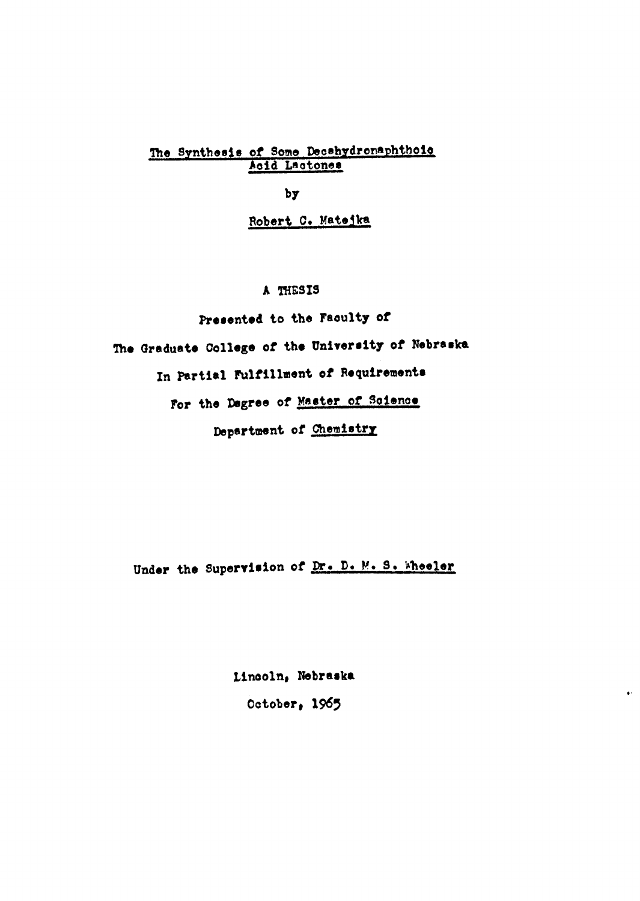#### The Synthesis of Some Decshydronaphthoic Acid Lactones

by

#### Robert C. Matejka

#### A THESIS

Presented to the Faculty of The Graduate College of the University of Nebraska In Partial Fulfillment of Requirements For the Dagree of Master of Soience Department of Chemistry

Under the Supervision of Dr. D. M. S. Wheeler

Lincoln, Nebraska October, 1965

 $\bullet^{\pm}$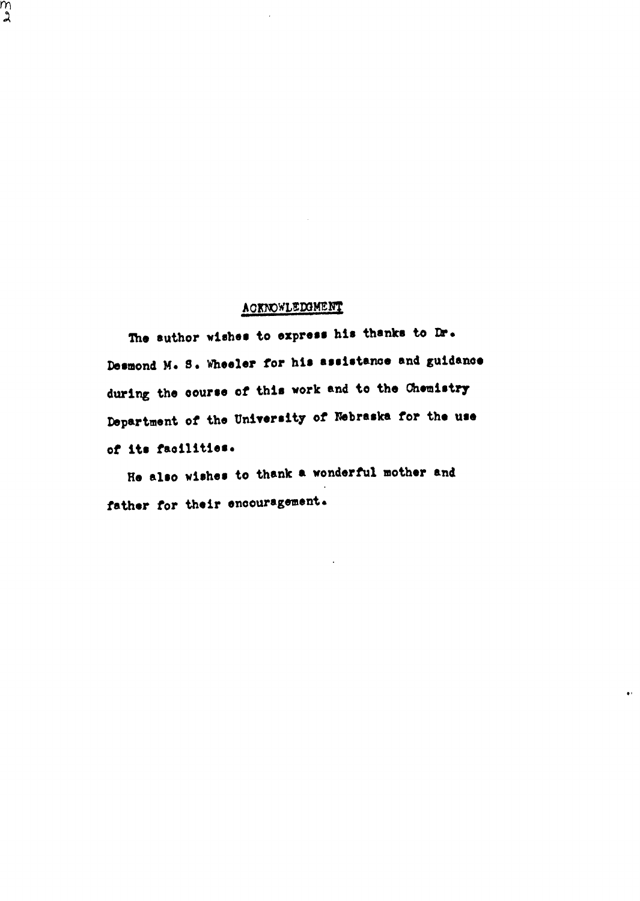#### **ACKNOWLEDGMENT**

m<br>2

The suthor wishes to express his thanks to Dr. Desmond M. S. Wheeler for his assistance and guidance during the course of this work and to the Chemistry Department of the University of Nebraska for the use of its facilities.

He also wishes to thank a wonderful mother and father for their encouragement.

 $\bullet$  .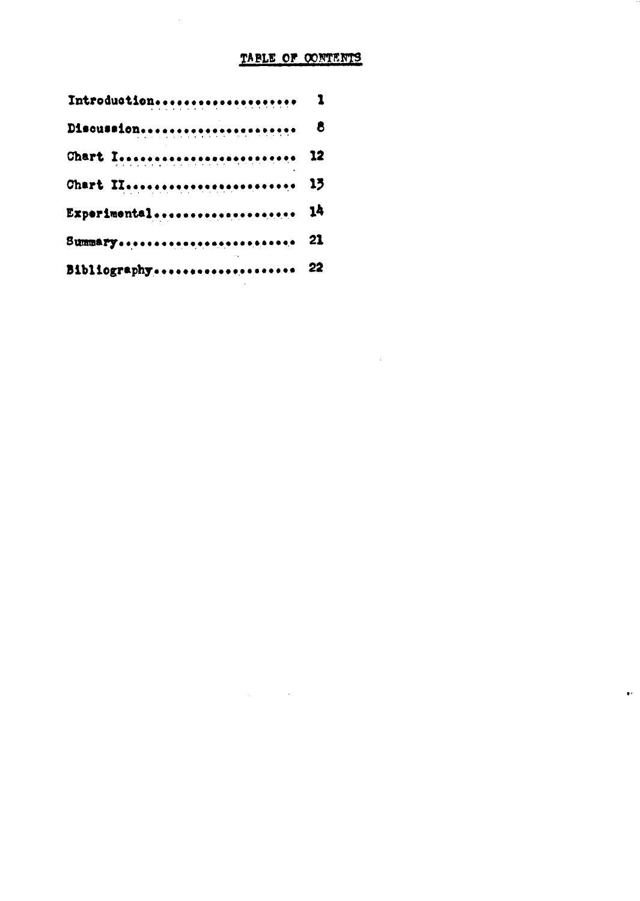#### TABLE OF CONTENTS

 $\mathcal{L}_{\text{max}}$  and  $\mathcal{L}_{\text{max}}$  . The set of  $\mathcal{L}_{\text{max}}$ 

 $\sim 10^6$ 

 $\bullet\,$ 

| Introduction    | 1          |
|-----------------|------------|
| Discussion      | $\epsilon$ |
| Chart I 12      |            |
| Chart II 13     |            |
| Experimental 14 |            |
| Summary 21      |            |
| Bibliography 22 |            |
|                 |            |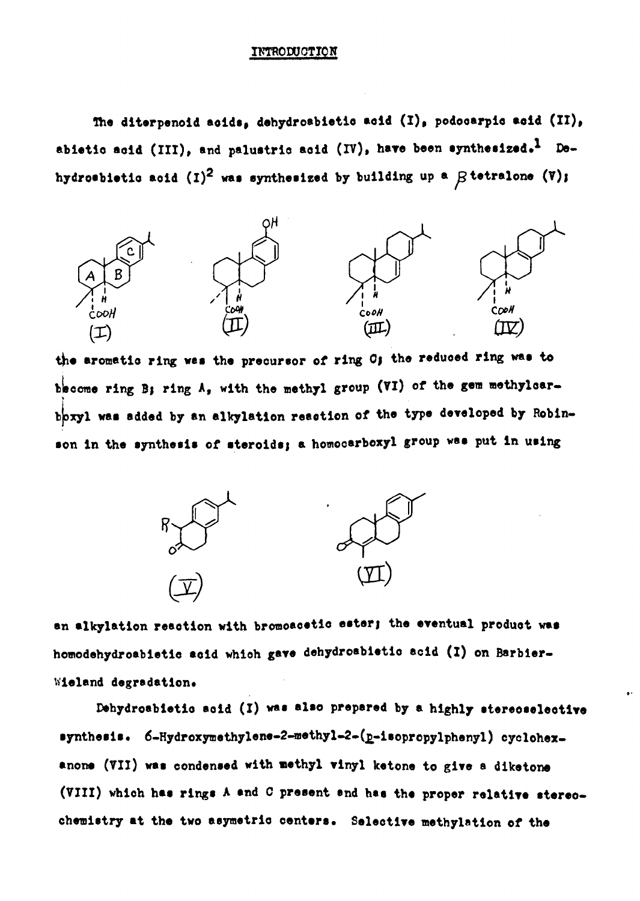#### INTRODUCTION

The diterpenoid acids, dehydrosbietic acid (I), podocarpic acid (II), abietic acid (III), and palustric acid (IV), have been synthesized.<sup>1</sup> Dehydrosbietic acid (I)<sup>2</sup> was synthesized by building up a  $\beta$  tetralone (V);



the aromatic ring was the precursor of ring O; the reduced ring was to become ring B; ring A, with the methyl group (VI) of the gem methylcarboxyl was added by an alkylation reaction of the type developed by Robinson in the synthesis of steroids; a homocarboxyl group was put in using



an alkylation reaction with bromoacetic ester; the eventual product was homodehydroabietic acid which gave dehydroabietic acid (I) on Barbier-Wieland degradation.

Dehydroabietic acid (I) was also prepared by a highly stereoselective synthesis. 6-Hydroxymethylene-2-methyl-2-(p-isopropylphenyl) cyclohexanone (VII) was condensed with methyl vinyl ketone to give a diketone (VIII) which has rings A and C present and has the proper relative stereochemistry at the two asymetric centers. Selective methylation of the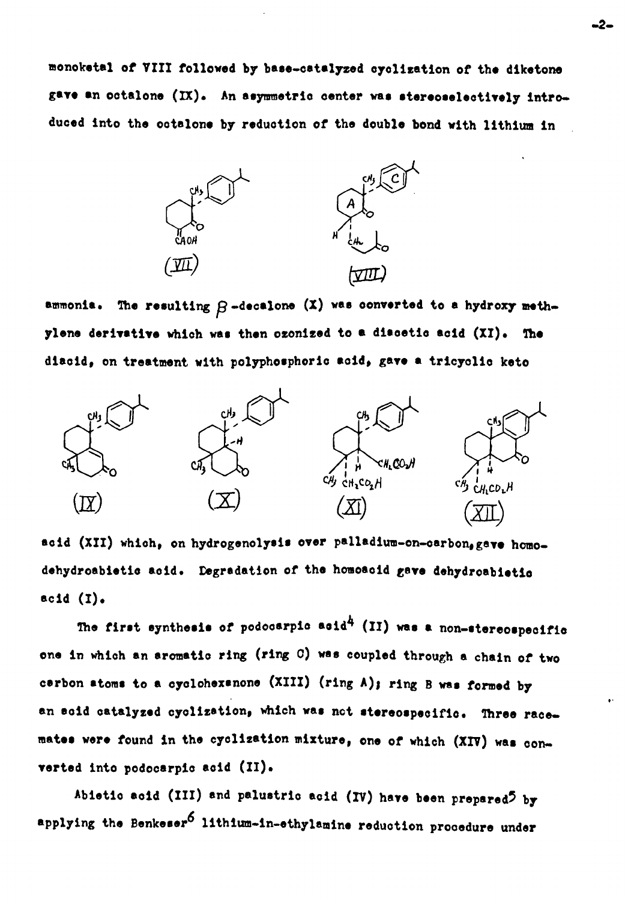monoketal of VIII followed by base-catalyzed cyclization of the diketone gave an octalone (IX). An asymmetric center was stereoselectively introduced into the octalone by reduction of the double bond with lithium in



ammonia. The resulting  $\beta$ -decalone  $(X)$  was converted to a hydroxy methylene derivative which was then ozonized to a discetic acid (XI). The diacid, on treatment with polyphosphoric acid, gave a tricyclic keto



acid (XII) which, on hydrogenolysis over palladium-on-carbon, gave homodehydroabietic acid. Degradation of the homoacid gave dehydroabietic acid  $(I)$ .

The first synthesis of podocarpic acid<sup>4</sup> (II) was a non-stereospecific one in which an aromatic ring (ring C) was coupled through a chain of two cerbon atoms to a cyclohexanone (XIII) (ring A); ring B was formed by an soid catalyzed cyclization, which was not stereospecific. Three racemates were found in the cyclization mixture, one of which (XIV) was converted into podocarpic acid (II).

Abietic acid (III) and palustric acid (IV) have been prepared<sup>5</sup> by applying the Benkeser<sup>6</sup> lithium-in-ethylamine reduction procedure under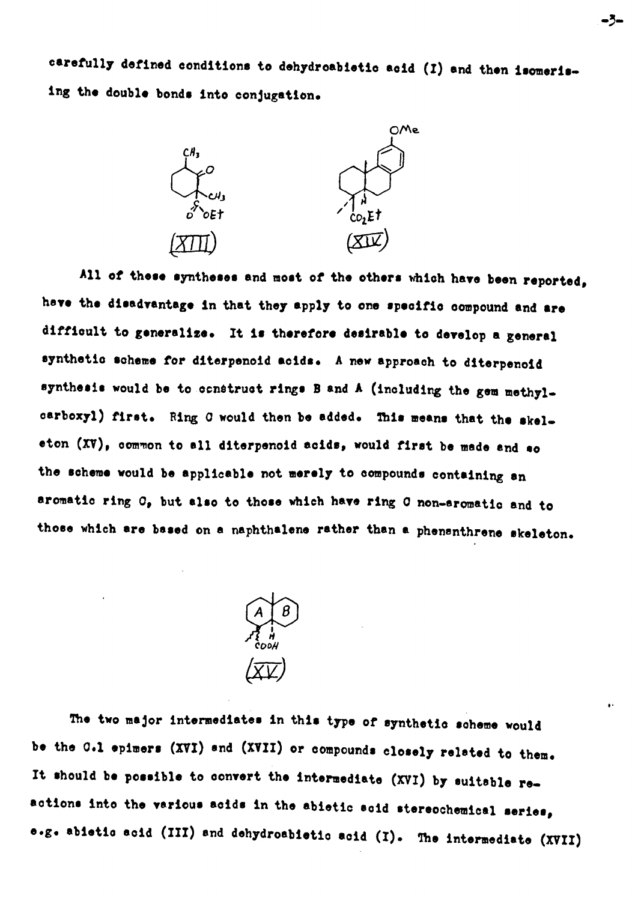carefully defined conditions to dehydroabietic acid (I) and then isomerising the double bonds into conjugation.



All of these syntheses and most of the others which have been reported. have the disadvantage in that they apply to one specific compound and are difficult to generalize. It is therefore desirable to develop a general synthetic scheme for diterpencid acids. A new approach to diterpencid synthesis would be to construct rings B and A (including the gem methylcarboxyl) first. Ring C would then be added. This means that the skeleton (XV), common to all diterpenoid acids, would first be made and so the scheme would be applicable not merely to compounds containing an aromatic ring O, but also to those which have ring O non-aromatic and to those which are based on a naphthalene rather than a phenanthrene skeleton.



The two major intermediates in this type of synthetic scheme would be the G.1 epimers (XVI) and (XVII) or compounds closely related to them. It should be possible to convert the intermediate (XVI) by suitable reactions into the various acids in the abietic scid stereochemical series, e.g. abietic acid (III) and dehydroabietic acid (I). The intermediate (XVII)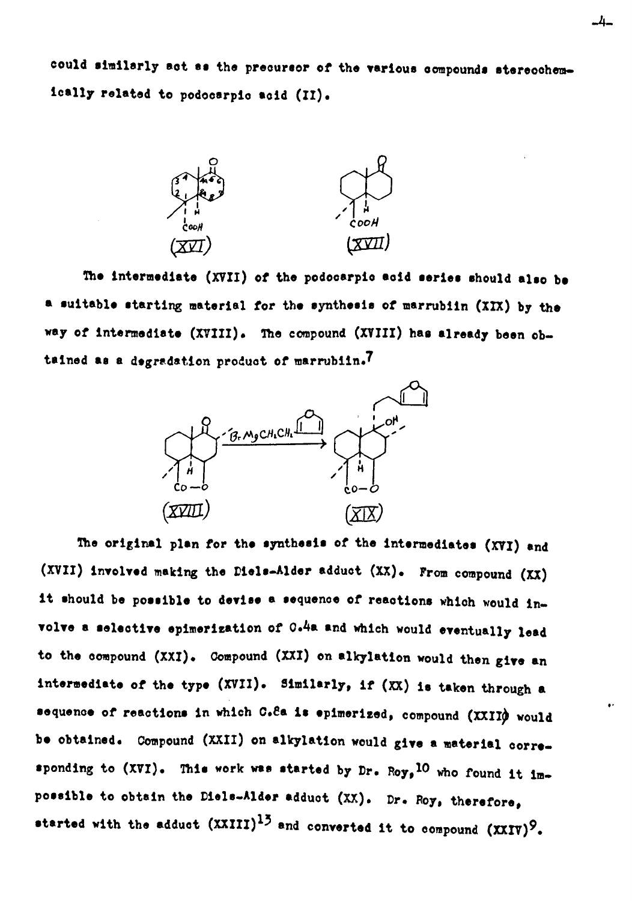could similarly act as the precursor of the various compounds stereochemically related to podocarpic acid (II).



The intermediate (XVII) of the podocarpic acid series should also be a suitable starting material for the synthesis of marrubiin (XIX) by the way of intermediate (XVIII). The compound (XVIII) has already been obtained as a degradation product of marrubiin.7



The original plan for the synthesis of the intermediates (XVI) and (XVII) involved making the Diels-Alder adduct (XX). From compound (XX) it should be possible to devise a sequence of reactions which would involve a selective epimerization of 0.4a and which would eventually lead to the compound (XXI). Compound (XXI) on alkylation would then give an intermediate of the type (XVII). Similarly, if (XX) is taken through a sequence of reactions in which C.Sa is epimerized, compound (XXII) would be obtained. Compound (XXII) on alkylation would give a material corresponding to (XVI). This work was started by Dr. Roy, 10 who found it impossible to obtain the Diels-Alder adduct (XX). Dr. Roy, therefore, started with the adduct  $(XXIII)^{15}$  and converted it to compound  $(XXIV)^{9}$ .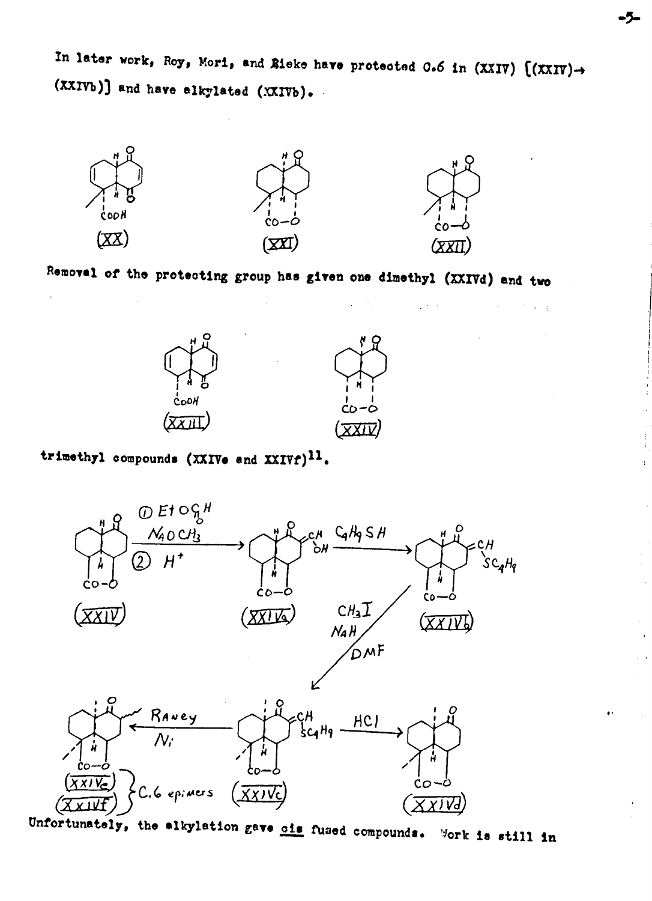In later work, Roy, Mori, and Rieke have protected 0.6 in (XXIV)  $((\text{XXIV}) \rightarrow$ (XXIVb)] and have alkylated (XXIVb).



Removal of the protecting group has given one dimethyl (XXIVd) and two

 $\sim$  10  $\sim$ 

 $\omega = \omega$ 



trimethyl compounds (XXIVe and XXIVf)<sup>11</sup>.



Unfortunately, the alkylation gave ois fused compounds. Work is still in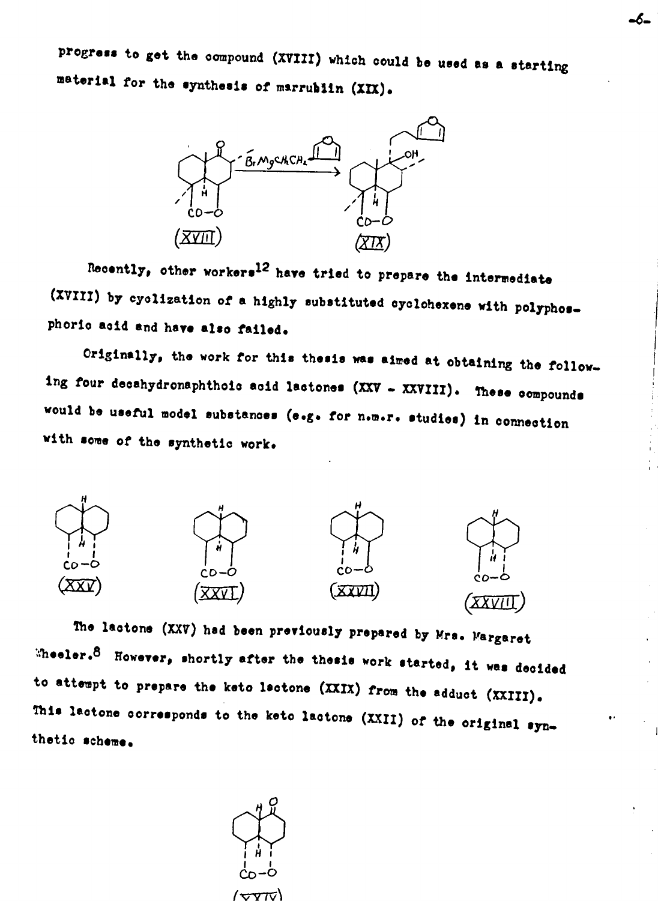progress to get the compound (XVIII) which could be used as a starting material for the synthesis of marrubiin (XIX).

-6-



Recently, other workers<sup>12</sup> have tried to prepare the intermediate (XVIII) by cyclization of a highly substituted cyclohexene with polyphosphorio acid and have also failed.

Originally, the work for this thesis was aimed at obtaining the following four decahydronaphthoic acid lactones (XXV - XXVIII). These compounds would be useful model substances (e.g. for n.m.r. studies) in connection with some of the synthetic work.



The lactone (XXV) had been previously prepared by Mrs. Margaret Wheeler.<sup>8</sup> However, shortly after the thesis work started, it was decided to attempt to prepare the keto lectone (XXIX) from the adduct (XXIII). This lactone corresponds to the keto lactone (XXII) of the original synthetic scheme.

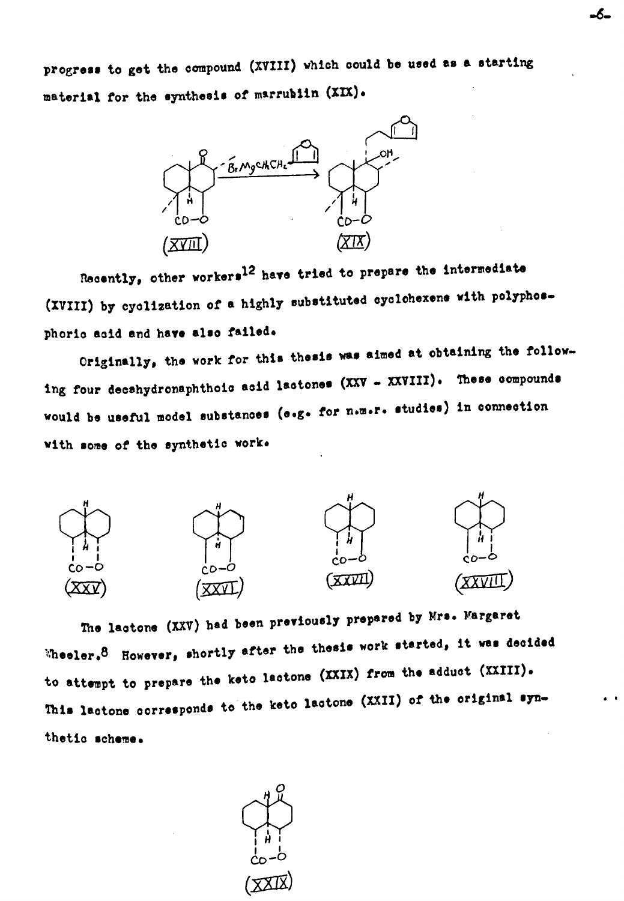progress to get the compound (XVIII) which could be used as a starting material for the synthesis of marrublin (XIX).



Recently, other workers<sup>12</sup> have tried to prepare the intermediate (XVIII) by cyclization of a highly substituted cyclohexene with polyphosphoric acid and have also failed.

Originally, the work for this thesis was aimed at obtaining the following four decahydronaphthoic acid lactones (XXV - XXVIII). These compounds would be useful model substances (e.g. for n.m.r. studies) in connection with some of the synthetic work.



The lactone (XXV) had been previously prepared by Mrs. Margaret  $\%$ heeler.  $8$  However, shortly after the thesis work started, it was decided to attempt to prepare the keto lactone (XXIX) from the adduct (XXIII). This lactone corresponds to the keto lactone (XXII) of the original synthetic scheme.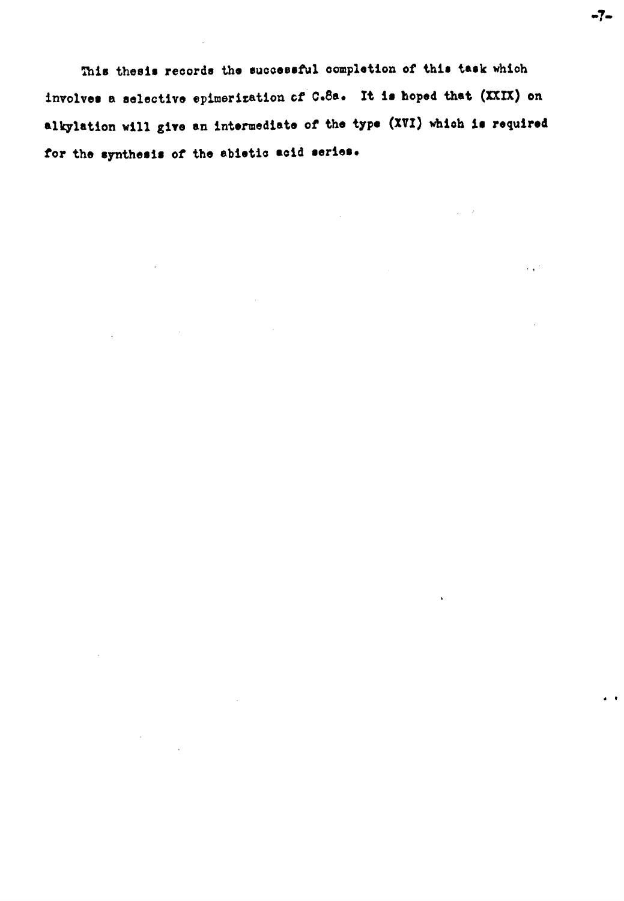This thesis records the successful completion of this task which involves a selective epimerization of C.8a. It is hoped that (XXIX) on alkylation will give an intermediate of the type (XVI) which is required for the synthesis of the abietic acid series.

 $\mathcal{L}^{\text{max}}$ 

 $\gamma_{\rm c} = 2$ 

 $\ddot{\phantom{a}}$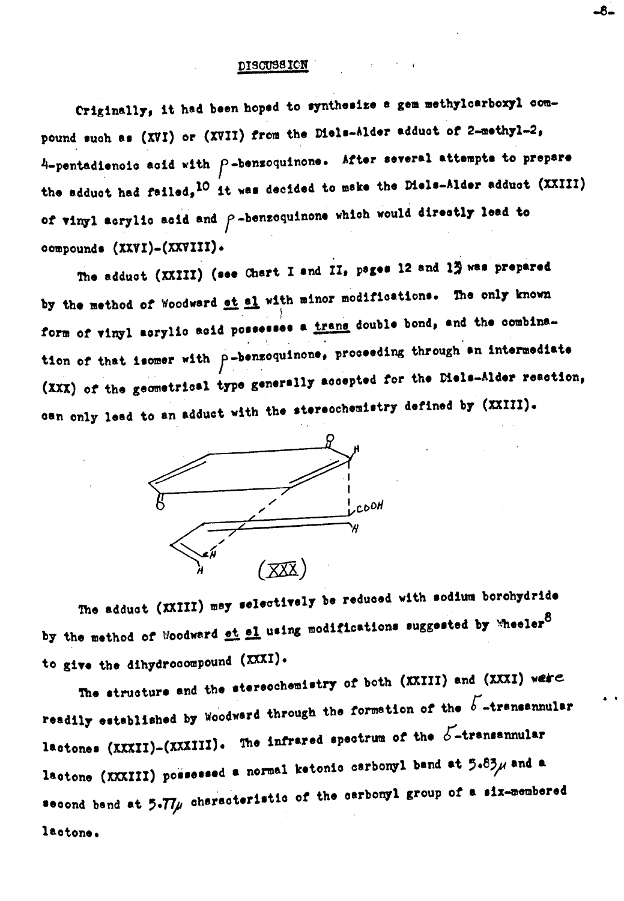#### **DISCUSSICN**

Criginally, it had been hoped to synthesize a gem methylcarboxyl compound such as (XVI) or (XVII) from the Diels-Alder adduct of 2-methyl-2.  $4$ -pentadiencic acid with  $\rho$ -benzoquinone. After several attempts to prepare the adduct had failed, <sup>10</sup> it was decided to make the Diels-Alder adduct (XXIII) of vinyl acrylic acid and  $\rho$ -benzoquinone which would directly lead to compounds (XXVI)-(XXVIII).

The adduct (XXIII) (see Chart I and II, pages 12 and 13 was prepared by the method of Woodward et al with minor modifications. The only known form of vinyl acrylic acid possesses a trans double bond, and the combination of that isomer with  $\rho$ -benzoquinone, proceeding through an intermediate (XXX) of the geometrical type generally accepted for the Diels-Alder reaction, can only lead to an adduct with the stereochemistry defined by (XXIII).



The adduct (XXIII) may selectively be reduced with sodium borchydride by the method of Woodward ot al using modifications suggested by Wheeler<sup>8</sup> to give the dihydrocompound (XXXI).

The structure and the stereochemistry of both (XXIII) and (XXXI) were readily established by Woodward through the formation of the  $b$ -transannular lactones (XXXII)-(XXXIII). The infrared spectrum of the  $5$ -transannular lactone (XXXIII) possessed a normal ketonic carbonyl band at  $5.83\mu$  and a second band at  $5.77\mu$  characteristic of the carbonyl group of a six-membered lactone.

-8-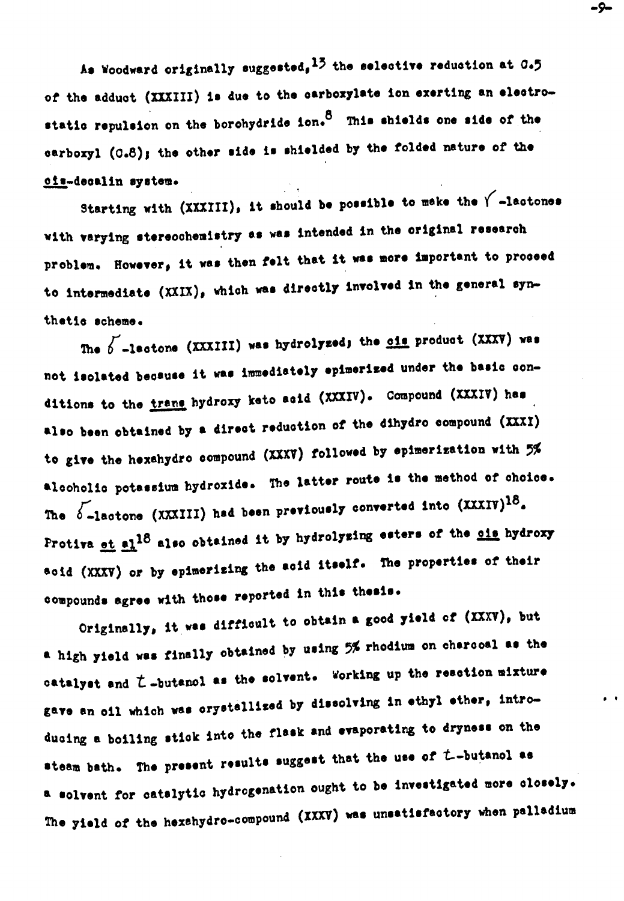As Woodward originally suggested,  $15$  the selective reduction at  $0.5$ of the adduct (XXXIII) is due to the carboxylate ion exerting an electrostatic repulsion on the borohydride ion.  $8$  This shields one side of the carboxyl (0.8); the other side is shielded by the folded nature of the ois-decalin system.

Starting with  $(XXIII)$ , it should be possible to make the  $\sqrt{\phantom{a}}$ -lactones with varying stereochemistry as was intended in the original research problem. However, it was then felt that it was more important to proceed to intermediate (XXIX), which was directly involved in the general synthetic scheme.

The  $b$  -lactons (XXXIII) was hydrolyzed; the cis product (XXXV) was not isolated because it was immediately epimerized under the basic conditions to the trans hydroxy keto acid (XXXIV). Compound (XXXIV) has also been obtained by a direct reduction of the dihydro compound (XXXI) to give the hexahydro compound (XXXV) followed by epimerization with 5% alcoholic potassium hydroxide. The latter route is the method of choice. The  $\delta$ -lactone (XXXIII) had been previously converted into (XXXIV)<sup>18</sup>. Protiva et al<sup>18</sup> also obtained it by hydrolyzing esters of the ois hydroxy soid (XXXV) or by epimerizing the acid itself. The properties of their compounds agree with those reported in this thesis.

Originally, it was difficult to obtain a good yield of (XXXV), but a high yield was finally obtained by using 5% rhodium on charcoal as the catalyst and  $\zeta$ -butanol as the solvent. Working up the reaction mixture gave an oil which was crystallized by dissolving in ethyl ether, introducing a boiling stick into the flask and evaporating to dryness on the steam bath. The present results suggest that the use of *t*-butanol as a solvent for catalytic hydrogenation ought to be investigated more closely. The yield of the hexahydro-compound (XXXV) was unsatisfactory when palladium

-9-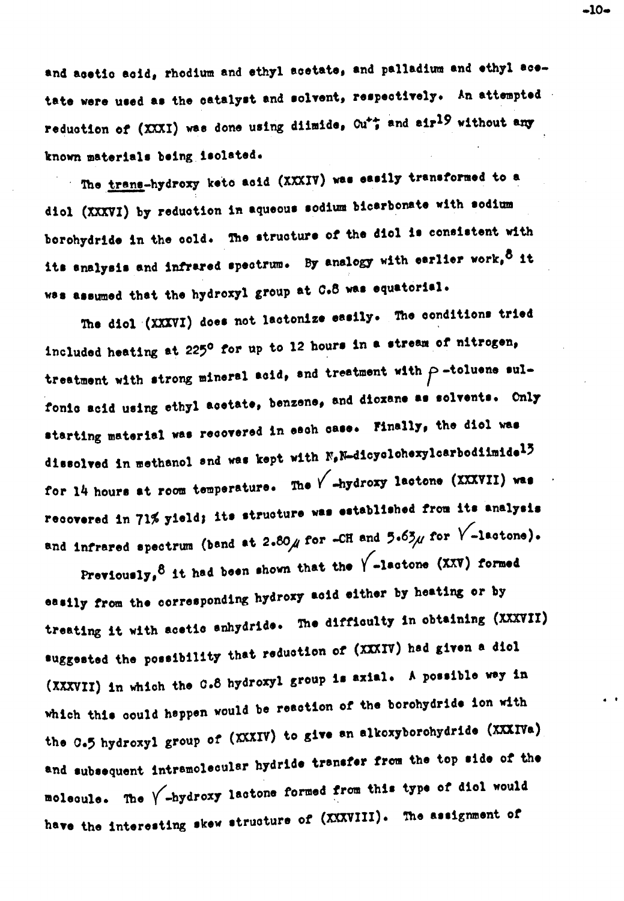and acetic acid, rhodium and ethyl acetate, and palladium and ethyl acetate were used as the catalyst and solvent, respectively. An attempted reduction of (XXXI) was done using diimide, Ou<sup>++</sup> and air<sup>19</sup> without any known materials being isolated.

The trans-hydroxy keto acid (XXXIV) was easily transformed to a diol (XXXVI) by reduction in aqueous sodium bicarbonate with sodium borohydride in the cold. The structure of the diol is consistent with its snalysis and infrared spectrum. By analogy with earlier work, <sup>8</sup> it was assumed that the hydroxyl group at C.8 was equatorial.

The diol (XXXVI) does not lactonize easily. The conditions tried included heating at 225<sup>0</sup> for up to 12 hours in a stream of nitrogen, treatment with strong mineral acid, and treatment with  $\rho$ -toluene sulfonic acid using ethyl acetate, benzene, and dioxane as solvents. Only starting material was recovered in each case. Finally, the dicl was dissolved in methanol and was kept with N,N-dicyclohexylcarbodiimide<sup>13</sup> for 14 hours at room temperature. The  $\sqrt{\phantom{0}}$ -hydroxy lactone (XXXVII) was recovered in 71% yield; its structure was established from its analysis and infrared spectrum (band at 2.80  $\mu$  for -CH and 5.63 $\mu$  for  $\sqrt{\phantom{a}}$ -lactone).

Previously,  $8$  it had been shown that the  $\sqrt{\phantom{0}}$ -lactone (XXV) formed easily from the corresponding hydroxy acid either by heating or by treating it with acetic enhydride. The difficulty in obtaining (XXXVII) suggested the possibility that reduction of (XXXIV) had given a dicl (XXXVII) in which the C.8 hydroxyl group is axial. A possible way in which this could happen would be reaction of the borohydride ion with the C.5 hydroxyl group of (XXXIV) to give an alkoxyborohydride (XXXIVa) and subsequent intramolecular hydride transfer from the top side of the molecule. The  $\sqrt{\phantom{a}}$ -hydroxy lactone formed from this type of dicl would have the interesting skew structure of (XXXVIII). The assignment of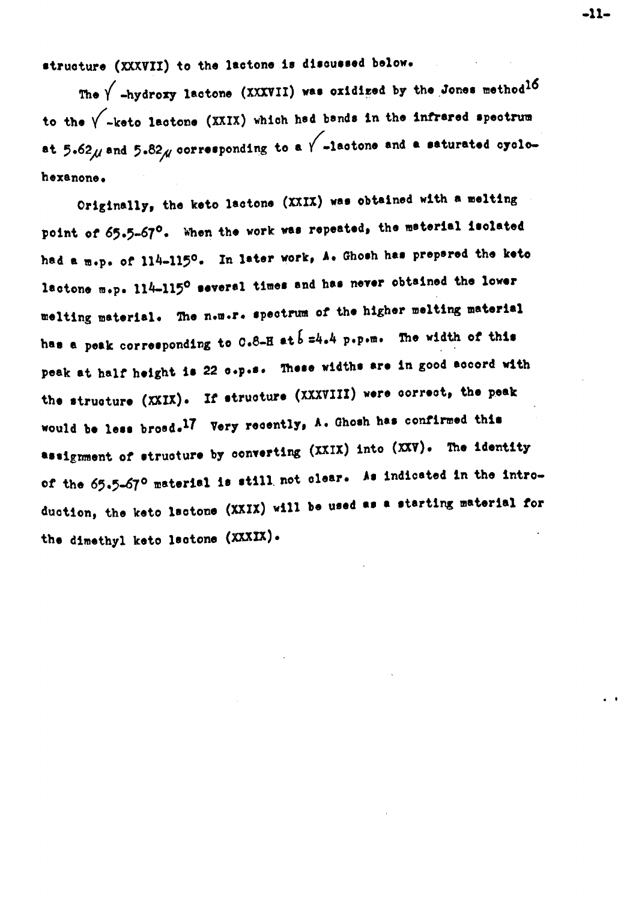structure (XXXVII) to the lactone is discussed below.

The  $\sqrt{\phantom{a}}$ -hydroxy lactone (XXXVII) was oxidized by the Jones method<sup>16</sup> to the  $\sqrt{\phantom{a}}$ -keto lactone (XXIX) which had bands in the infrared spectrum at 5.62 $\mu$  and 5.82 $\mu$  corresponding to a  $\sqrt{\phantom{0}}$ -lactone and a saturated oyclohexanone.

Originally, the keto lactone (XXIX) was obtained with a melting point of 65.5-67°. When the work was repeated, the material isolated had a m.p. of 114-115°. In later work, A. Ghosh has prepared the keto lactone m.p. 114-115° several times and has never obtained the lower melting material. The n.m.r. spectrum of the higher melting material has a peak corresponding to  $0.8-8$  at  $5=4.4$  p.p.m. The width of this peak at half height is 22 c.p.s. These widths are in good accord with the structure (XXIX). If structure (XXXVIII) were correct, the peak would be less broad.<sup>17</sup> Very recently, A. Ghosh has confirmed this assignment of structure by converting (XXIX) into (XXV). The identity of the 65.5-67° material is still not clear. As indicated in the introduction, the keto lactone (XXIX) will be used as a starting material for the dimethyl keto lactone (XXXIX).

 $-11-$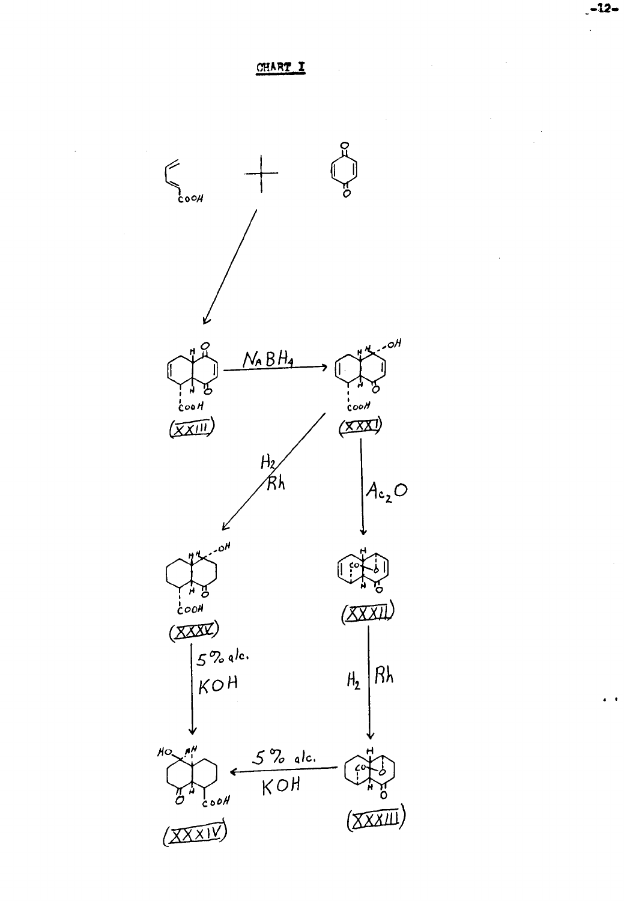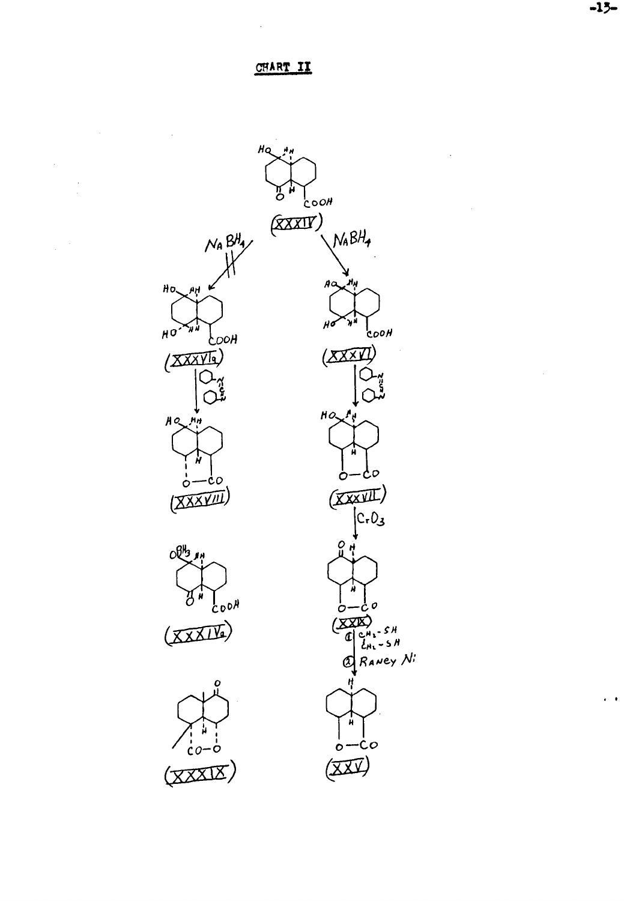#### CHART II

 $\ddot{\phantom{a}}$ 

 $\sim$ 



 $-15-$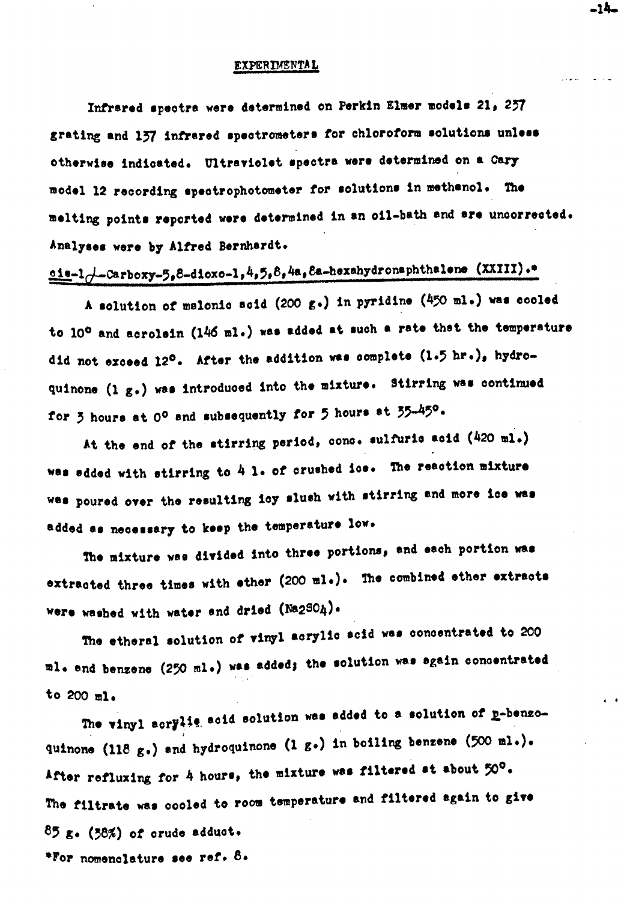#### EXPERIMENTAL

Infrared spectra were determined on Perkin Elmer models 21, 257 grating and 137 infrared spectrometers for chloroform solutions unless otherwise indicated. Ultraviolet spectra were determined on a Cary model 12 recording spectrophotometer for solutions in methanol. The melting points reported were determined in an oil-bath and are uncorrected. Analyses were by Alfred Bernhardt.

### $\underline{\circ 1e-1}$  -Carboxy-5,8-dioxo-1,4,5,8,4a,8a-hexahydronaphthalene (XXIII).\*

A solution of malonic acid (200 g.) in pyridine (450 ml.) was cooled to 10° and acrolein (146 ml.) was added at such a rate that the temperature did not exceed 12°. After the addition was complete (1.5 hr.), hydroquinone (1 g.) was introduced into the mixture. Stirring was continued for 3 hours at 0° and subsequently for 5 hours at 35-45°.

At the end of the stirring period, conc. sulfurio acid (420 ml.) was added with stirring to 4 1. of crushed ice. The reaction mixture was poured over the resulting icy slush with stirring and more ice was added as necessary to keep the temperature low.

The mixture was divided into three portions, and each portion was extracted three times with ether (200 ml.). The combined ether extracts were washed with water and dried (Na2SO4).

The etheral solution of vinyl acrylic acid was concentrated to 200 ml. and benzene (250 ml.) was added; the solution was again concentrated to  $200$  ml.

The vinyl acrylis acid solution was added to a solution of p-benzoquinone (118 g.) and hydroquinone (1 g.) in boiling benzene (500 ml.). After refluxing for 4 hours, the mixture was filtered at about 50°. The filtrate was cooled to room temperature and filtered again to give  $85$  g. (38%) of crude adduct. \*For nomenclature see ref. 8.

-14-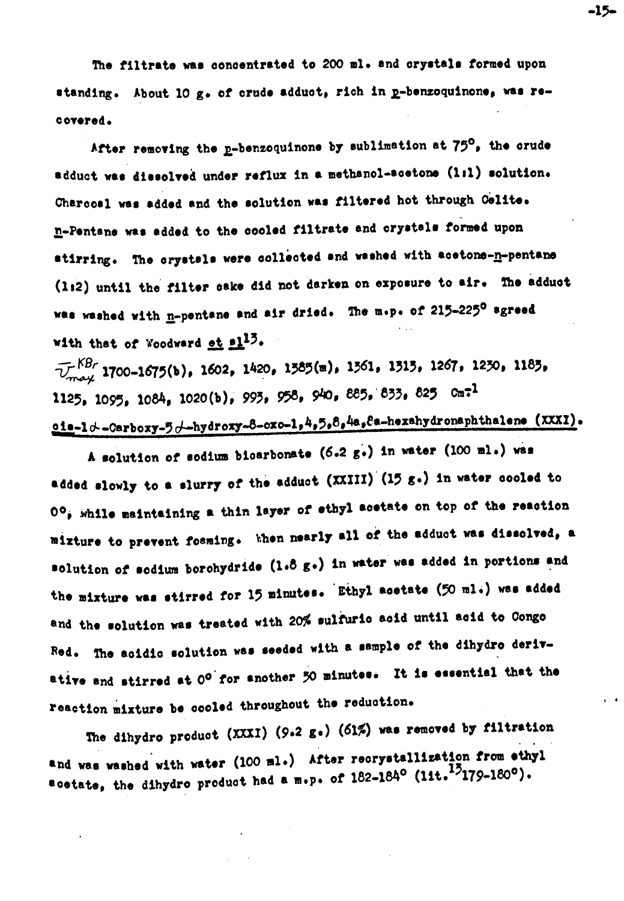The filtrate was concentrated to 200 ml. and crystals formed upon standing. About 10 g. of crude adduct, rich in p-benzoquinone. was recovered.

After removing the p-benzoquinone by sublimation at 75°, the crude adduct was dissolved under reflux in a methanol-acetone (1:1) solution. Charcoal was added and the solution was filtered hot through Celite. n-Pentane was added to the cooled filtrate and crystals formed upon stirring. The crystals were collected and washed with acetons-n-pentane (1:2) until the filter cake did not darken on exposure to air. The adduct was washed with n-pentane and air dried. The m.p. of 215-225° agreed with that of Woodward et al<sup>13</sup>.

 $\overline{V}_{max}^{KBr}$  1700-1675(b), 1602, 1420, 1585(m), 1561, 1515, 1267, 1230, 1185, 1125, 1095, 1084, 1020(b), 993, 958, 940, 885, 833, 825 Cm<sup>-1</sup> cia-ld-Carboxy-5d-hydroxy-8-oxo-1,4,5,8,4a,8a-hexahydronaphthalene (XXXI).

A solution of sodium bioarbonate (6.2 g.) in water (100 ml.) was added slowly to a slurry of the adduct (XXIII) (15 g.) in water cooled to  $0^{\circ}$ , while maintaining a thin layer of ethyl acetate on top of the reaction mixture to prevent foaming. When nearly all of the adduct was dissolved, a solution of sodium borohydride (1.8 g.) in water was added in portions and the mixture was stirred for 15 minutes. Ethyl acetate (50 ml.) was added and the solution was treated with 20% sulfurio acid until acid to Congo Red. The acidic solution was seeded with a sample of the dihydro derivative and stirred at 0° for another 50 minutes. It is essential that the reaction mixture be cooled throughout the reduction.

The dihydro product (XXXI) (9.2 g.) (61%) was removed by filtration and was washed with water (100 ml.) After recrystallization from ethyl acetate, the dihydro product had a m.p. of 182-184° (11t.<sup>15</sup>179-180°).

 $-15-$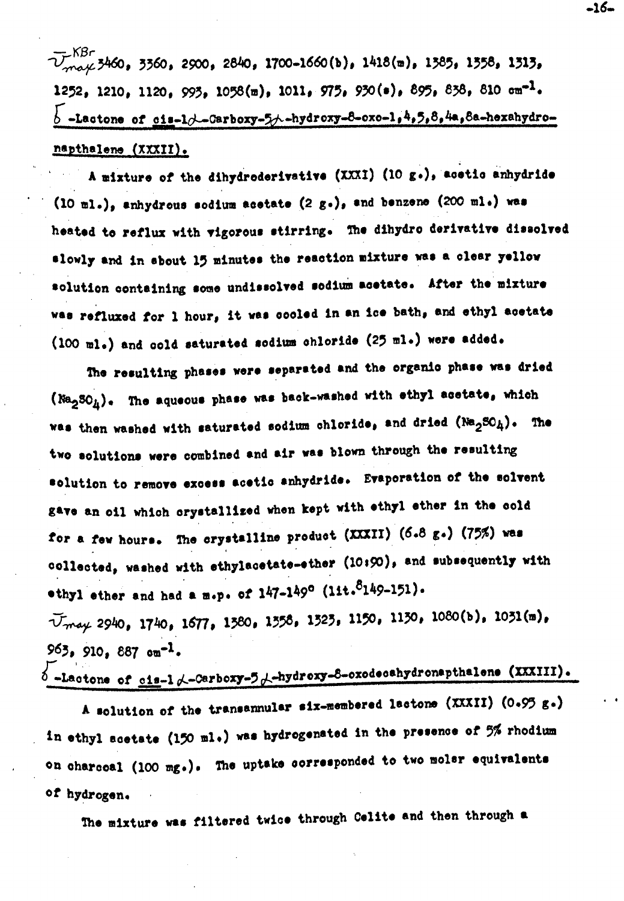— KBr<br>V<sub>mark</sub> 3460, 3360, 2900, 2840, 1700-1660(b), 1418(m), 1385, 1358, 1313, 1252, 1210, 1120, 993, 1058(m), 1011, 975, 930(e), 895, 838, 810 cm<sup>-1</sup>.  $b$  -Lactone of cis-1/-Carboxy-5/--hydroxy-8-oxo-1,4,5,8,4a,8a-hexahydronapthalene (XXXII).

A mixture of the dihydroderivative (XXXI) (10 g.), acetic anhydride  $(10 \text{ m1.})$ , anhydrous sodium acetate  $(2 g.)$ , and benzene  $(200 \text{ m1.})$  was heated to reflux with vigorous stirring. The dihydro derivative dissolved slowly and in sbout 15 minutes the reaction mixture was a clear yellow solution containing some undissolved sodium acetate. After the mixture was refluxed for 1 hour, it was cooled in an ice bath, and ethyl acetate (100 ml.) and cold saturated sodium chloride (25 ml.) were added.

The resulting phases were separated and the organic phase was dried (Na<sub>2</sub>30<sub>h</sub>). The aqueous phase was back-washed with ethyl acetate, which was then washed with saturated sodium chloride, and dried  $(Na_2SO_h)$ . The two solutions were combined and air was blown through the resulting solution to remove excess acetic anhydride. Evaporation of the solvent gave an oil which crystallized when kept with ethyl ether in the cold for a few hours. The crystalline product (XXXII) (6.8 g.) (75%) was collected, washed with ethylacetate-ether (10:90), and subsequently with othyl ether and had a m.p. of  $147-149^{\circ}$  (1it.  $8149-151$ ). Umay 2940, 1740, 1677, 1380, 1358, 1323, 1150, 1130, 1080(b), 1031(m),

 $963, 910, 887$  on<sup>-1</sup>.  $\delta$ -Lactone of cis-1  $\lambda$ -Carboxy-5  $\lambda$ -hydroxy-8-oxodecahydronapthalene (XXXIII).

A solution of the transamular six-membered lactone (XXXII) (0.95 g.) in ethyl scetate (150 ml.) was hydrogenated in the presence of 5% rhodium on charceal (100 mg.). The uptake corresponded to two molar equivalents of hydrogen.

The mixture was filtered twice through Celite and then through a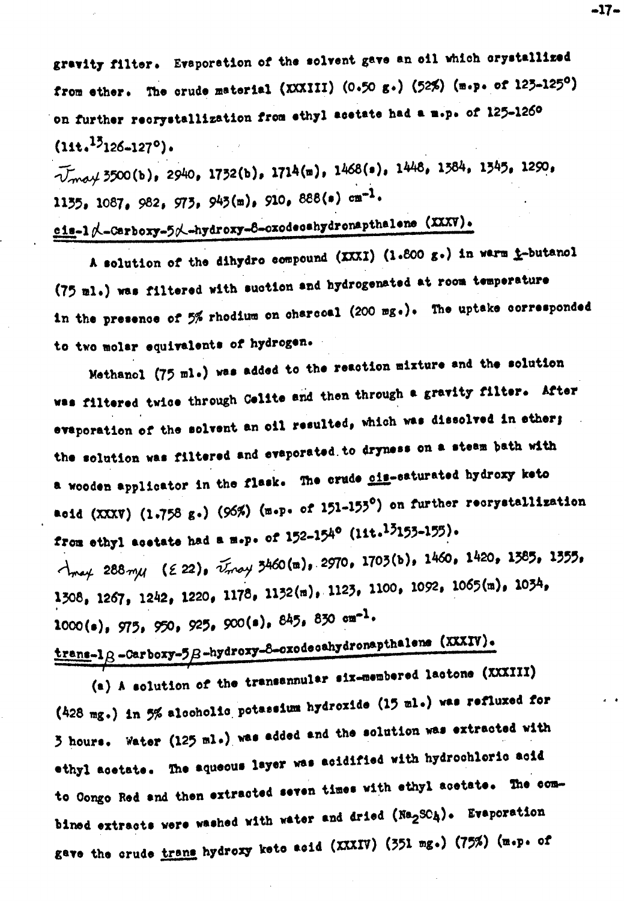gravity filter. Evaporation of the solvent gave an oil which orystallized from ether. The crude material (XXXIII)  $(0.50 g.)$  (52%) (m.p. of 123-125<sup>0</sup>) on further recrystallization from ethyl acetate had a m.p. of 125-1260  $(11t, <sup>13</sup>126-127°)$ .

 $\widetilde{V}_{m o}$  (b), 2940, 1732(b), 1714(m), 1468(s), 1448, 1384, 1345, 1290, 1135, 1087, 982, 973, 943(m), 910, 888(s) cm<sup>-1</sup>.

cis-1 d-Carboxy-5 d-hydroxy-8-oxodecehydronapthalene (XXXV).

A solution of the dihydro compound (XXXI) (1.800 g.) in warm i-butanol (75 ml.) was filtered with suction and hydrogenated at room temperature in the presence of 5% rhodium on charcoal (200 mg.). The uptake corresponded to two molar equivalents of hydrogen.

Methanol (75 ml.) was added to the reaction mixture and the solution was filtered twice through Celite and then through a gravity filter. After evaporation of the solvent an oil resulted, which was dissolved in ether; the solution was filtered and evaporated to dryness on a steam bath with a wooden applicator in the flask. The crude cime-caturated hydroxy keto acid (XXXV) (1.758 g.) (96%) (m.p. of 151-153°) on further recrystallization from othyl acetate had a m.p. of  $152-154^{\circ}$  (11t.<sup>13</sup>155-155).  $\lambda_{\text{max}}$  288 $\text{my}$  (22),  $\tilde{\nu}_{\text{max}}$  3460(m), 2970, 1703(b), 1460, 1420, 1385, 1355, 1308, 1267, 1242, 1220, 1178, 1132(m), 1123, 1100, 1092, 1065(m), 1034,  $1000(e)$ , 975, 950, 925, 900(s), 845, 830 cm<sup>-1</sup>.

## $\frac{\text{trans-lg}}{\text{trans-lg}}$  -Carboxy-5 $\beta$ -hydroxy-8-oxodecahydronapthelens (XXXIV).

(a) A solution of the transannular six-membered lactone (XXXIII) (428 mg.) in 5% alcoholic potassium hydroxide (15 ml.) was refluxed for 3 hours. Water (125 ml.) was added and the solution was extracted with ethyl acetate. The aqueous layer was acidified with hydrochloric acid to Congo Red and then extracted seven times with ethyl acetate. The combined extracts were washed with water and dried (Na<sub>2</sub>SOA). Evaporation gave the crude trans hydroxy kets asid (XXXIV) (351 mg.) (75%) (m.p. of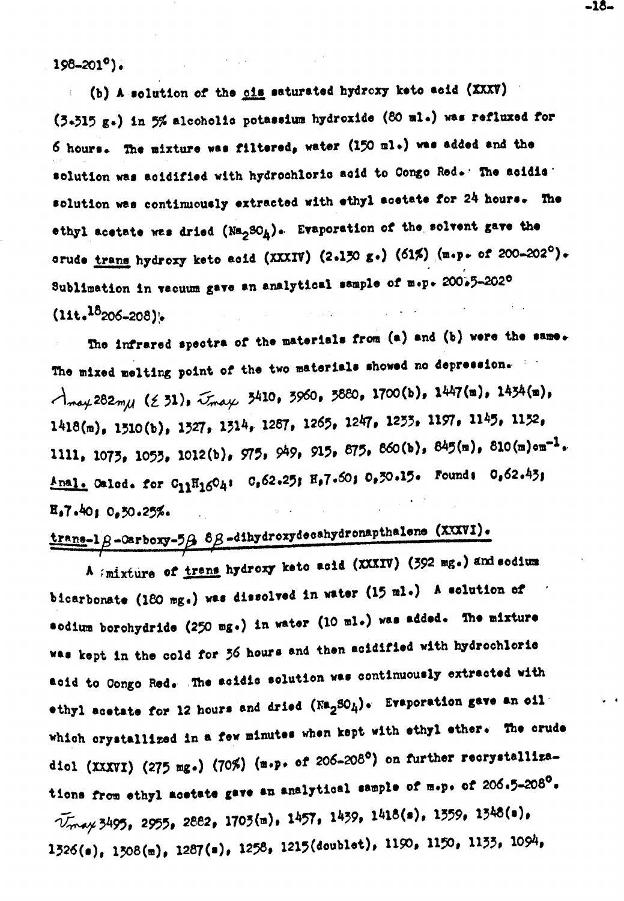$198 - 201^{\circ}$ .

(b) A solution of the ois saturated hydroxy keto acid (XXXV) (3.515 g.) in 5% alcoholic potassium hydroxide (80 ml.) was refluxed for 6 hours. The mixture was filtered, water (150 ml.) was added and the solution was acidified with hydrochloric acid to Congo Red. The acidia solution was continuously extracted with ethyl acetate for 24 hours. The ethyl acetate was dried  $(Na_2SO_h)$ . Evaporation of the solvent gave the orude trans hydroxy keto acid (XXXIV) (2.130 g.) (61%) (m.p. of 200-202°). Sublimation in vacuum gave an analytical sample of m.p. 20035-2020  $(11t.18_{206-208})$ .

The infrared spectra of the materials from (a) and (b) were the same. The mixed melting point of the two materials showed no depression.  $\lambda_{\text{may}}$ 282mu ( $\leq$  31),  $\bar{\lambda}_{\text{may}}$  3410, 3960, 3880, 1700(b), 1447(m), 1434(m),  $1418(m)$ , 1510(b), 1527, 1514, 1287, 1265, 1247, 1255, 1197, 1145, 1152, 1111, 1075, 1055, 1012(b), 975, 949, 915, 875, 860(b), 845(m), 810(m)om<sup>-1</sup>. Anal. Oalod. for C<sub>11</sub>H<sub>16</sub>O<sub>4</sub>: C,62.25; H,7.6O; 0,3O.15. Found: 0,62.43;  $E_07.4010.50.25%.$ 

# $\frac{\text{trans-1}\beta-\text{carboxy-5}\beta}{\beta-\text{ch}(\beta-\beta)}$   $\beta\beta-\text{d}(\beta-\beta)}$  and  $\beta-\text{ch}(\beta-\beta)$

A *i*mixture of trans hydroxy keto acid (XXXIV) (392 mg.) and sodium bicarbonate (180 mg.) was dissolved in water (15 ml.) A solution of sodium borohydride (250 mg.) in water (10 ml.) was added. The mixture was kept in the cold for 36 hours and then acidified with hydrochloric acid to Congo Red. The acidic solution was continuously extracted with othyl acetate for 12 hours and dried  $(\text{Na}_2\text{SO}_4)$ . Evaporation gave an oil which crystallized in a few minutes when kept with ethyl ether. The crude diol (XXXVI) (275 mg.) (70%) (m.p. of 206-208°) on further recrystallizations from ethyl acetate gave an analytical sample of m.p. of 206.5-208<sup>0</sup>. Vmay 3495, 2955, 2882, 1703(m), 1457, 1439, 1418(s), 1359, 1348(s),  $1526(e)$ ,  $1508(e)$ ,  $1287(e)$ ,  $1258$ ,  $1215(doublet)$ ,  $1190$ ,  $1150$ ,  $1155$ ,  $1094$ ,

-18-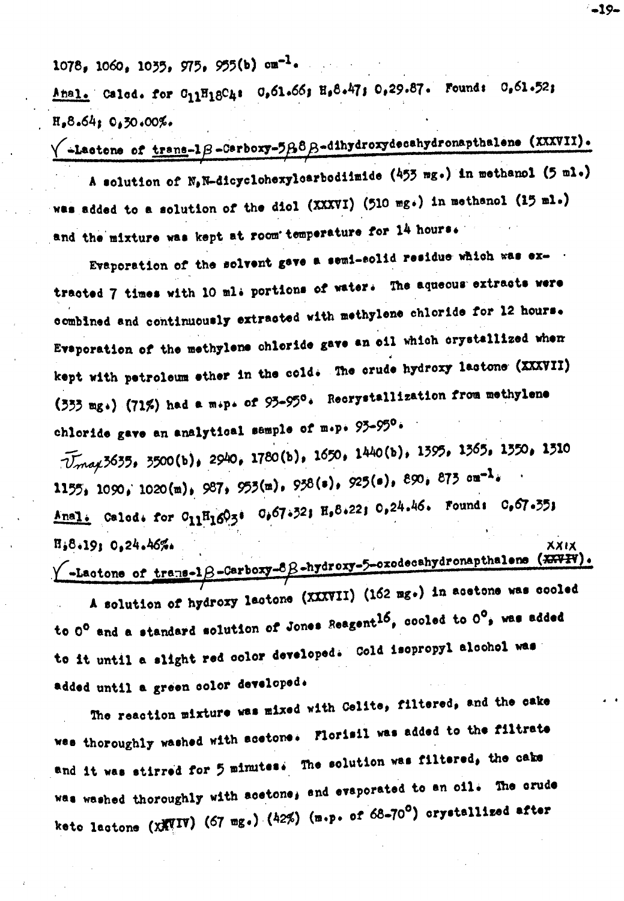$1078$ ,  $1060$ ,  $1035$ ,  $975$ ,  $955(b)$   $cm^{-1}$ .

Anal. Calcd. for  $C_{11}H_{18}C_{41}$   $C_{5}C_{1.6}C_{5}$   $H_{6}C_{4}T_{5}$   $C_{7}29.87$ . Founds  $C_{8}C_{1.5}C_{5}$  $H_08.64: 0.30.00\%$ 

 $\sqrt{\frac{1}{2}\text{ factors of } \text{trans-1}\beta - \text{Cərboxy-5}\beta \cdot \beta - \text{dihydroxydecahydronaphalene (XXXVI)}.}$ A solution of N, N-dicyclohexylearbodiimide (453 mg.) in methanol (5 ml.)

was added to a solution of the diol (XXXVI) (510 mg.) in methanol (15 ml.) and the mixture was kept at room temperature for 14 hours.

Evaporation of the solvent gave a semi-solid residue which was extracted 7 times with 10 ml+ portions of water. The aquecus extracts were combined and continuously extracted with methylene chloride for 12 hours. Evaporation of the methylene chloride gave an oil which crystallized when kept with petroleum ether in the cold. The crude hydroxy lastone (XXXVII) (333 mg.) (71%) had a m.p. of 93-95°. Recrystallization from methylene chloride gave an analytical sample of m.p. 93-95°.

 $\overline{U}_{mag}$ 3635, 3500(b), 2940, 1780(b), 1650, 1440(b), 1395, 1365, 1350, 1310 1155, 1090, 1020(m), 987, 955(m), 958(s), 925(s), 890, 875 ou<sup>-1</sup>. Anal. Calod. for C<sub>11</sub>H<sub>16</sub>O<sub>3</sub>: 0,67.52; H,8.22; 0,24.46. Found: 0,67.55; H,8.19: 0.24.46%. XXIX

 $\sqrt{\frac{-\text{Lactone of the number of perboxy-8-hydroxy-5-cozodecahydronephation (xxy)}{m}}$ 

A solution of hydroxy lactone (XXXVII) (162 mg.) in acetone was cooled to  $0^0$  and a standard solution of Jones Reagent<sup>16</sup>, cooled to  $0^0$ , was added to it until a slight red color developed. Cold isopropyl alcohol was added until a green color developed.

The reaction mixture was mixed with Celite, filtered, and the cake was thoroughly washed with acetone. Florisil was added to the filtrate and it was stirred for 5 minutes. The solution was filtered, the cake was washed thoroughly with acetone, and evaporated to an oil. The crude keto lactone (XXVIV) (67 mg.) (42%) (m.p. of 68-70°) crystallized after

 $-19-$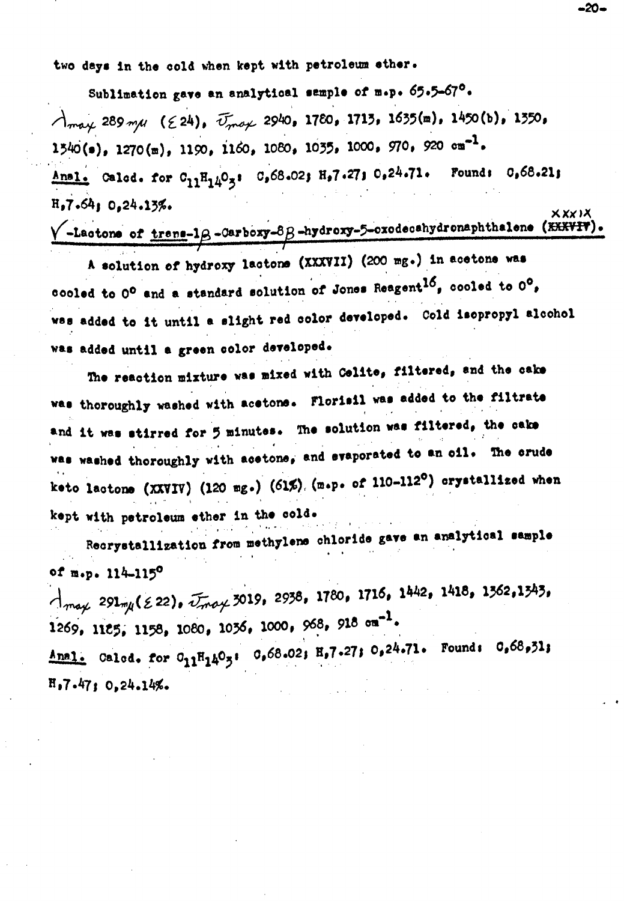two days in the cold when kept with petroleum ether.

Sublimation gave an analytical sample of m.p. 65.5-67°.  $\lambda_{\text{max}}$  289 m/l ( $\epsilon$ 24),  $\bar{U}_{\text{max}}$  2940, 1780, 1713, 1635(m), 1450(b), 1350, 1540(s), 1270(m), 1190, 1160, 1080, 1035, 1000, 970, 920 cm<sup>-1</sup>. Anal. Calcd. for  $C_{11}H_{14}O_3$ :  $C_968.02$ ;  $H_97.27$ ;  $O_924.71$ . Found:  $O_968.21$ ;  $R_27.6410.24.13%$ **XXXIX** 

## $\sqrt{\frac{-L}}$ actone of trens-1 $\beta$ -Carboxy-8 $\beta$ -hydroxy-5-oxodecahydronaphthalene (XXXVIV)

A solution of hydroxy lactons (XXXVII) (200 mg.) in acetons was cooled to 0° and a standard solution of Jones Reagent<sup>16</sup>, cooled to 0°, was added to it until a slight red color developed. Cold isopropyl alochol was added until a green color developed.

The reaction mixture was mixed with Colite, filtered, and the cake was thoroughly washed with acetons. Florisil was added to the filtrate and it was stirred for 5 minutes. The solution was filtered, the cake was washed thoroughly with acetons, and evaporated to an oil. The crude keto lactone (XXVIV) (120 mg.) (61%). (m.p. of 110-112<sup>0</sup>) crystallized when kept with petroleum ether in the cold.

Recrystallization from methylene chloride gave an analytical sample of m.p. 114-115°

 $\bigcap_{m \in \mathcal{X}} 291_{m/l} (\&22)$ ,  $\widetilde{U}_{m} \circ \mathcal{Y} 3019$ , 2938, 1780, 1716, 1442, 1418, 1362, 1343, 1269, 1125, 1158, 1080, 1036, 1000, 968, 918  $\sigma$ m<sup>-1</sup>. Anal. Calcd. for  $O_{11}H_{14}O_5$ :  $O_668.02$ ;  $H_97.27$ ;  $O_924.71$ . Found:  $O_668.51$ ;  $H_97.47; 0,24.14%.$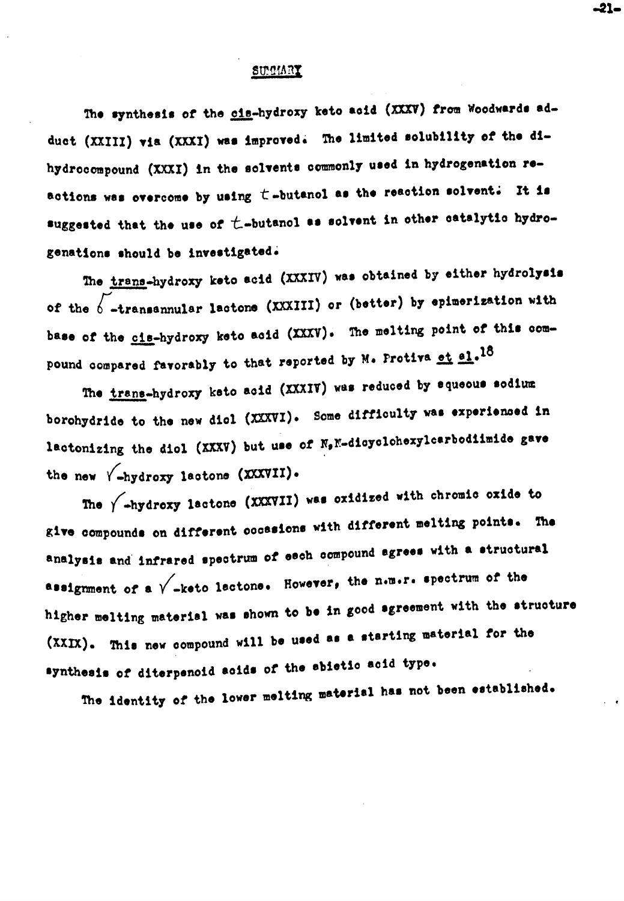#### SUMMRY

The synthesis of the cis-hydroxy keto acid (XXXV) from Woodwards adduct (XXIII) via (XXXI) was improved. The limited solubility of the dihydrocompound (XXXI) in the solvents commonly used in hydrogenation reactions was overcome by using  $t$ -butanol as the reaction solvent. It is suggested that the use of  $t$ -butanol as solvent in other catalytic hydrogenations should be investigated.

The trans-hydroxy keto acid (XXXIV) was obtained by either hydrolysis of the  $6$  -transannular lactone (XXXIII) or (better) by epimerization with base of the cis-hydroxy keto acid (XXXV). The melting point of this compound compared favorably to that reported by M. Protiva et el.18

The trans-hydroxy keto acid (XXXIV) was reduced by squeous sodium borohydride to the new diol (XXXVI). Some difficulty was experienced in lactonizing the diol (XXXV) but use of N, N-disyolohexylcarbodiimide gave the new  $\sqrt{-h$ ydroxy lactone (XXXVII).

The  $\sqrt{\phantom{a}}$ -hydroxy lactone (XXXVII) was oxidized with chromic oxide to give compounds on different coossions with different melting points. The analysis and infrared spectrum of each compound agrees with a structural assignment of a  $\sqrt{\phantom{a}}$ -keto lactone. However, the n.m.r. spectrum of the higher melting material was shown to be in good agreement with the structure (XXIX). This new compound will be used as a starting material for the synthesis of diterpenoid soids of the sbietic acid type.

The identity of the lower melting material has not been established.

-21-